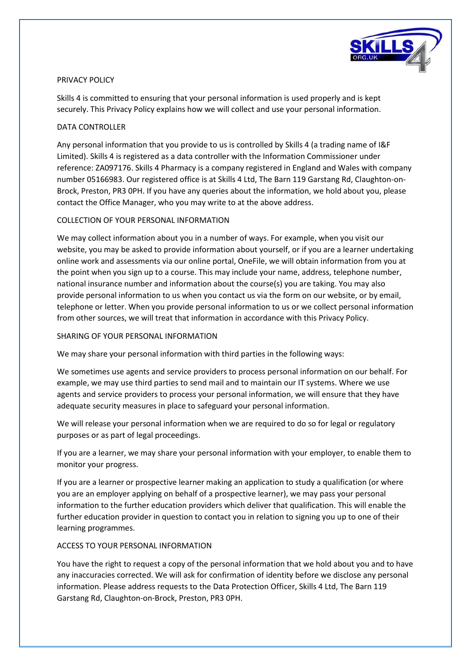

## PRIVACY POLICY

Skills 4 is committed to ensuring that your personal information is used properly and is kept securely. This Privacy Policy explains how we will collect and use your personal information.

## DATA CONTROLLER

Any personal information that you provide to us is controlled by Skills 4 (a trading name of I&F Limited). Skills 4 is registered as a data controller with the Information Commissioner under reference: ZA097176. Skills 4 Pharmacy is a company registered in England and Wales with company number 05166983. Our registered office is at Skills 4 Ltd, The Barn 119 Garstang Rd, Claughton-on-Brock, Preston, PR3 0PH. If you have any queries about the information, we hold about you, please contact the Office Manager, who you may write to at the above address.

## COLLECTION OF YOUR PERSONAL INFORMATION

We may collect information about you in a number of ways. For example, when you visit our website, you may be asked to provide information about yourself, or if you are a learner undertaking online work and assessments via our online portal, OneFile, we will obtain information from you at the point when you sign up to a course. This may include your name, address, telephone number, national insurance number and information about the course(s) you are taking. You may also provide personal information to us when you contact us via the form on our website, or by email, telephone or letter. When you provide personal information to us or we collect personal information from other sources, we will treat that information in accordance with this Privacy Policy.

### SHARING OF YOUR PERSONAL INFORMATION

We may share your personal information with third parties in the following ways:

We sometimes use agents and service providers to process personal information on our behalf. For example, we may use third parties to send mail and to maintain our IT systems. Where we use agents and service providers to process your personal information, we will ensure that they have adequate security measures in place to safeguard your personal information.

We will release your personal information when we are required to do so for legal or regulatory purposes or as part of legal proceedings.

If you are a learner, we may share your personal information with your employer, to enable them to monitor your progress.

If you are a learner or prospective learner making an application to study a qualification (or where you are an employer applying on behalf of a prospective learner), we may pass your personal information to the further education providers which deliver that qualification. This will enable the further education provider in question to contact you in relation to signing you up to one of their learning programmes.

# ACCESS TO YOUR PERSONAL INFORMATION

You have the right to request a copy of the personal information that we hold about you and to have any inaccuracies corrected. We will ask for confirmation of identity before we disclose any personal information. Please address requests to the Data Protection Officer, Skills 4 Ltd, The Barn 119 Garstang Rd, Claughton-on-Brock, Preston, PR3 0PH.